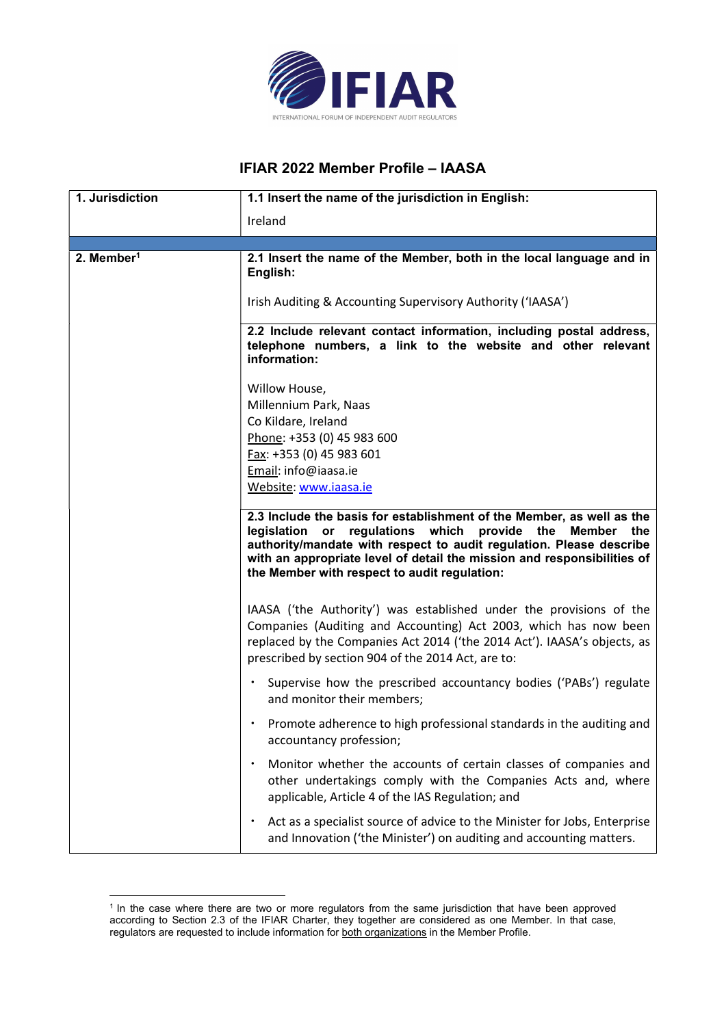

## IFIAR 2022 Member Profile – IAASA

| 1. Jurisdiction        | 1.1 Insert the name of the jurisdiction in English:                                                                                                                                                                                                                                                                                                   |
|------------------------|-------------------------------------------------------------------------------------------------------------------------------------------------------------------------------------------------------------------------------------------------------------------------------------------------------------------------------------------------------|
|                        | Ireland                                                                                                                                                                                                                                                                                                                                               |
|                        |                                                                                                                                                                                                                                                                                                                                                       |
| 2. Member <sup>1</sup> | 2.1 Insert the name of the Member, both in the local language and in<br>English:                                                                                                                                                                                                                                                                      |
|                        | Irish Auditing & Accounting Supervisory Authority ('IAASA')                                                                                                                                                                                                                                                                                           |
|                        | 2.2 Include relevant contact information, including postal address,<br>telephone numbers, a link to the website and other relevant<br>information:                                                                                                                                                                                                    |
|                        | Willow House,                                                                                                                                                                                                                                                                                                                                         |
|                        | Millennium Park, Naas                                                                                                                                                                                                                                                                                                                                 |
|                        | Co Kildare, Ireland                                                                                                                                                                                                                                                                                                                                   |
|                        | Phone: +353 (0) 45 983 600                                                                                                                                                                                                                                                                                                                            |
|                        | Fax: +353 (0) 45 983 601                                                                                                                                                                                                                                                                                                                              |
|                        | Email: info@iaasa.ie                                                                                                                                                                                                                                                                                                                                  |
|                        | Website: www.iaasa.ie                                                                                                                                                                                                                                                                                                                                 |
|                        | 2.3 Include the basis for establishment of the Member, as well as the<br>regulations which<br>provide the<br>legislation or<br><b>Member</b><br>the<br>authority/mandate with respect to audit regulation. Please describe<br>with an appropriate level of detail the mission and responsibilities of<br>the Member with respect to audit regulation: |
|                        | IAASA ('the Authority') was established under the provisions of the<br>Companies (Auditing and Accounting) Act 2003, which has now been<br>replaced by the Companies Act 2014 ('the 2014 Act'). IAASA's objects, as<br>prescribed by section 904 of the 2014 Act, are to:                                                                             |
|                        | Supervise how the prescribed accountancy bodies ('PABs') regulate<br>and monitor their members;                                                                                                                                                                                                                                                       |
|                        | Promote adherence to high professional standards in the auditing and<br>accountancy profession;                                                                                                                                                                                                                                                       |
|                        | Monitor whether the accounts of certain classes of companies and<br>$\bullet$<br>other undertakings comply with the Companies Acts and, where<br>applicable, Article 4 of the IAS Regulation; and                                                                                                                                                     |
|                        | Act as a specialist source of advice to the Minister for Jobs, Enterprise<br>$\bullet$<br>and Innovation ('the Minister') on auditing and accounting matters.                                                                                                                                                                                         |

<sup>&</sup>lt;sup>1</sup> In the case where there are two or more regulators from the same jurisdiction that have been approved according to Section 2.3 of the IFIAR Charter, they together are considered as one Member. In that case, regulators are requested to include information for both organizations in the Member Profile.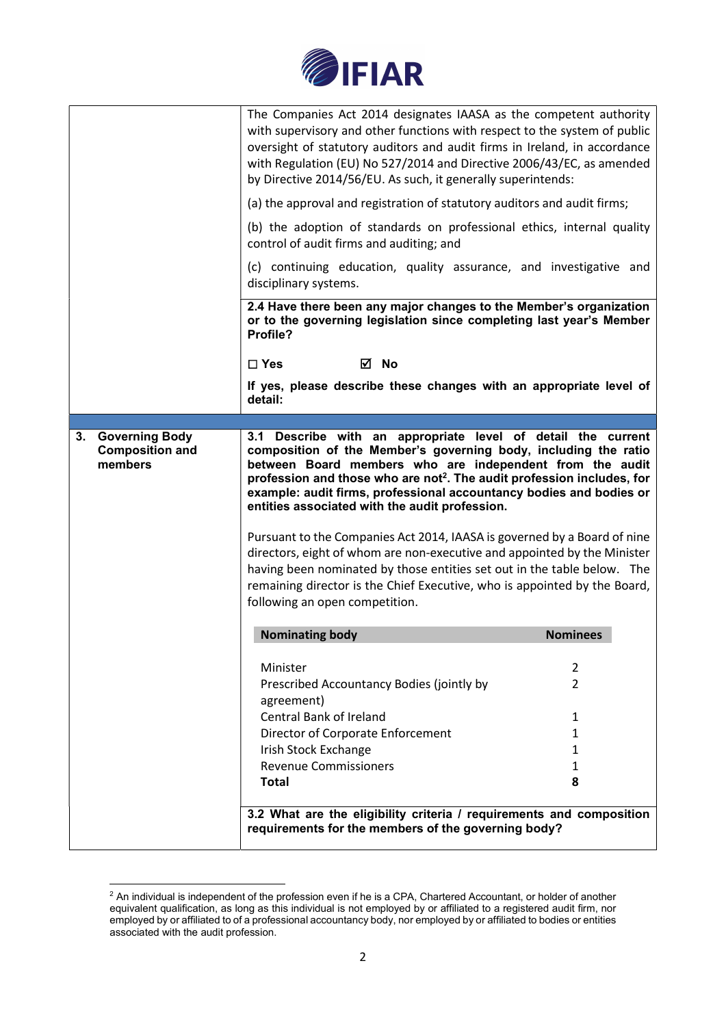

|                                                        | The Companies Act 2014 designates IAASA as the competent authority<br>with supervisory and other functions with respect to the system of public<br>oversight of statutory auditors and audit firms in Ireland, in accordance<br>with Regulation (EU) No 527/2014 and Directive 2006/43/EC, as amended<br>by Directive 2014/56/EU. As such, it generally superintends:                                                                                                                                                                                                                                                                                                                                                                                        |                 |  |
|--------------------------------------------------------|--------------------------------------------------------------------------------------------------------------------------------------------------------------------------------------------------------------------------------------------------------------------------------------------------------------------------------------------------------------------------------------------------------------------------------------------------------------------------------------------------------------------------------------------------------------------------------------------------------------------------------------------------------------------------------------------------------------------------------------------------------------|-----------------|--|
|                                                        | (a) the approval and registration of statutory auditors and audit firms;<br>(b) the adoption of standards on professional ethics, internal quality                                                                                                                                                                                                                                                                                                                                                                                                                                                                                                                                                                                                           |                 |  |
|                                                        | control of audit firms and auditing; and                                                                                                                                                                                                                                                                                                                                                                                                                                                                                                                                                                                                                                                                                                                     |                 |  |
|                                                        | (c) continuing education, quality assurance, and investigative and<br>disciplinary systems.                                                                                                                                                                                                                                                                                                                                                                                                                                                                                                                                                                                                                                                                  |                 |  |
|                                                        | 2.4 Have there been any major changes to the Member's organization<br>or to the governing legislation since completing last year's Member<br>Profile?                                                                                                                                                                                                                                                                                                                                                                                                                                                                                                                                                                                                        |                 |  |
|                                                        | ⊠ No<br>$\Box$ Yes                                                                                                                                                                                                                                                                                                                                                                                                                                                                                                                                                                                                                                                                                                                                           |                 |  |
|                                                        | If yes, please describe these changes with an appropriate level of<br>detail:                                                                                                                                                                                                                                                                                                                                                                                                                                                                                                                                                                                                                                                                                |                 |  |
|                                                        |                                                                                                                                                                                                                                                                                                                                                                                                                                                                                                                                                                                                                                                                                                                                                              |                 |  |
| 3. Governing Body<br><b>Composition and</b><br>members | 3.1 Describe with an appropriate level of detail the current<br>composition of the Member's governing body, including the ratio<br>between Board members who are independent from the audit<br>profession and those who are not <sup>2</sup> . The audit profession includes, for<br>example: audit firms, professional accountancy bodies and bodies or<br>entities associated with the audit profession.<br>Pursuant to the Companies Act 2014, IAASA is governed by a Board of nine<br>directors, eight of whom are non-executive and appointed by the Minister<br>having been nominated by those entities set out in the table below. The<br>remaining director is the Chief Executive, who is appointed by the Board,<br>following an open competition. |                 |  |
|                                                        | <b>Nominating body</b>                                                                                                                                                                                                                                                                                                                                                                                                                                                                                                                                                                                                                                                                                                                                       | <b>Nominees</b> |  |
|                                                        | Minister                                                                                                                                                                                                                                                                                                                                                                                                                                                                                                                                                                                                                                                                                                                                                     | 2               |  |
|                                                        | Prescribed Accountancy Bodies (jointly by<br>agreement)                                                                                                                                                                                                                                                                                                                                                                                                                                                                                                                                                                                                                                                                                                      | $\overline{2}$  |  |
|                                                        | Central Bank of Ireland                                                                                                                                                                                                                                                                                                                                                                                                                                                                                                                                                                                                                                                                                                                                      | 1               |  |
|                                                        | Director of Corporate Enforcement                                                                                                                                                                                                                                                                                                                                                                                                                                                                                                                                                                                                                                                                                                                            | 1               |  |
|                                                        | Irish Stock Exchange                                                                                                                                                                                                                                                                                                                                                                                                                                                                                                                                                                                                                                                                                                                                         | 1               |  |
|                                                        | <b>Revenue Commissioners</b>                                                                                                                                                                                                                                                                                                                                                                                                                                                                                                                                                                                                                                                                                                                                 | 1               |  |
|                                                        | <b>Total</b>                                                                                                                                                                                                                                                                                                                                                                                                                                                                                                                                                                                                                                                                                                                                                 | 8               |  |
|                                                        | 3.2 What are the eligibility criteria / requirements and composition<br>requirements for the members of the governing body?                                                                                                                                                                                                                                                                                                                                                                                                                                                                                                                                                                                                                                  |                 |  |

 $^2$  An individual is independent of the profession even if he is a CPA, Chartered Accountant, or holder of another equivalent qualification, as long as this individual is not employed by or affiliated to a registered audit firm, nor employed by or affiliated to of a professional accountancy body, nor employed by or affiliated to bodies or entities associated with the audit profession.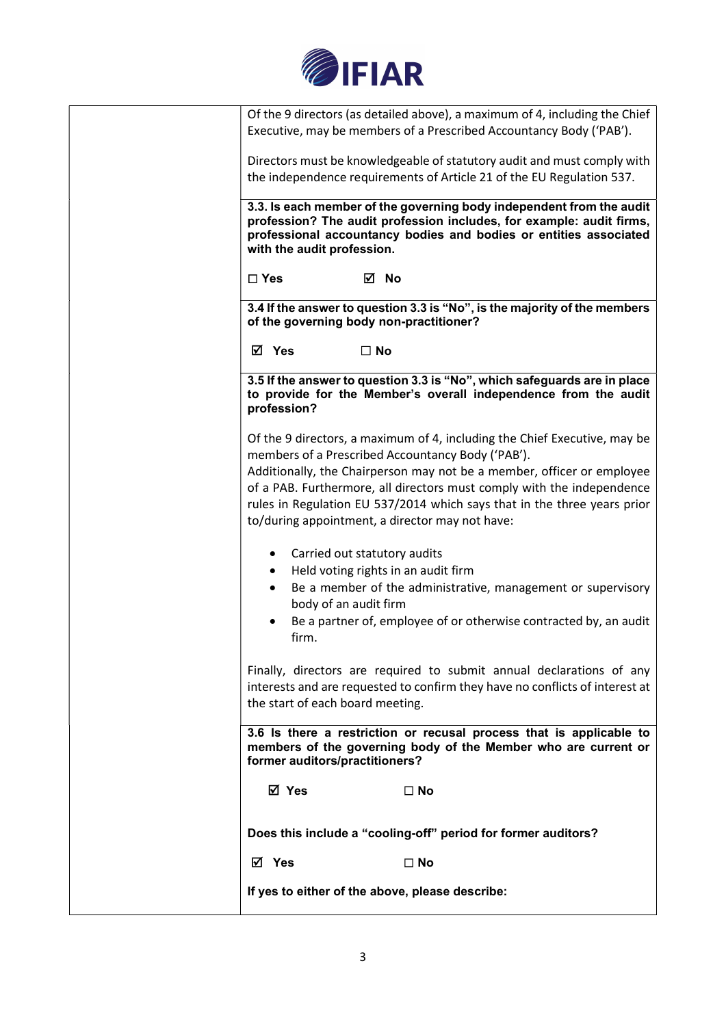

Of the 9 directors (as detailed above), a maximum of 4, including the Chief Executive, may be members of a Prescribed Accountancy Body ('PAB').

Directors must be knowledgeable of statutory audit and must comply with the independence requirements of Article 21 of the EU Regulation 537.

3.3. Is each member of the governing body independent from the audit profession? The audit profession includes, for example: audit firms, professional accountancy bodies and bodies or entities associated with the audit profession.

☐ Yes No

3.4 If the answer to question 3.3 is "No", is the majority of the members of the governing body non-practitioner?

**Ø** Yes □ No

3.5 If the answer to question 3.3 is "No", which safeguards are in place to provide for the Member's overall independence from the audit profession?

Of the 9 directors, a maximum of 4, including the Chief Executive, may be members of a Prescribed Accountancy Body ('PAB').

Additionally, the Chairperson may not be a member, officer or employee of a PAB. Furthermore, all directors must comply with the independence rules in Regulation EU 537/2014 which says that in the three years prior to/during appointment, a director may not have:

- Carried out statutory audits
- Held voting rights in an audit firm
- Be a member of the administrative, management or supervisory body of an audit firm
- Be a partner of, employee of or otherwise contracted by, an audit firm.

Finally, directors are required to submit annual declarations of any interests and are requested to confirm they have no conflicts of interest at the start of each board meeting.

3.6 Is there a restriction or recusal process that is applicable to members of the governing body of the Member who are current or former auditors/practitioners?

**ØYes** □ No

Does this include a "cooling-off" period for former auditors?

 $\overline{M}$  Yes  $\Box$  No.

If yes to either of the above, please describe: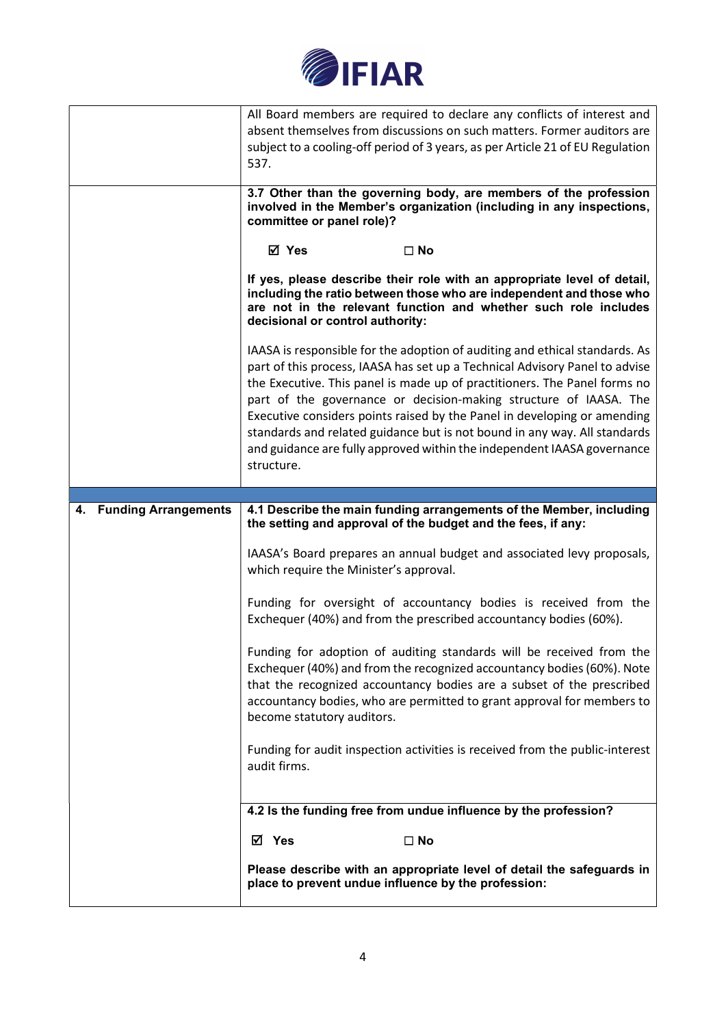

|                                   | All Board members are required to declare any conflicts of interest and<br>absent themselves from discussions on such matters. Former auditors are<br>subject to a cooling-off period of 3 years, as per Article 21 of EU Regulation<br>537.                                                                                                                                                                                                                                                                                                                   |
|-----------------------------------|----------------------------------------------------------------------------------------------------------------------------------------------------------------------------------------------------------------------------------------------------------------------------------------------------------------------------------------------------------------------------------------------------------------------------------------------------------------------------------------------------------------------------------------------------------------|
|                                   | 3.7 Other than the governing body, are members of the profession<br>involved in the Member's organization (including in any inspections,<br>committee or panel role)?                                                                                                                                                                                                                                                                                                                                                                                          |
|                                   | ⊠ Yes<br>$\square$ No                                                                                                                                                                                                                                                                                                                                                                                                                                                                                                                                          |
|                                   | If yes, please describe their role with an appropriate level of detail,<br>including the ratio between those who are independent and those who<br>are not in the relevant function and whether such role includes<br>decisional or control authority:                                                                                                                                                                                                                                                                                                          |
|                                   | IAASA is responsible for the adoption of auditing and ethical standards. As<br>part of this process, IAASA has set up a Technical Advisory Panel to advise<br>the Executive. This panel is made up of practitioners. The Panel forms no<br>part of the governance or decision-making structure of IAASA. The<br>Executive considers points raised by the Panel in developing or amending<br>standards and related guidance but is not bound in any way. All standards<br>and guidance are fully approved within the independent IAASA governance<br>structure. |
| <b>Funding Arrangements</b><br>4. | 4.1 Describe the main funding arrangements of the Member, including<br>the setting and approval of the budget and the fees, if any:                                                                                                                                                                                                                                                                                                                                                                                                                            |
|                                   | IAASA's Board prepares an annual budget and associated levy proposals,<br>which require the Minister's approval.                                                                                                                                                                                                                                                                                                                                                                                                                                               |
|                                   | Funding for oversight of accountancy bodies is received from the<br>Exchequer (40%) and from the prescribed accountancy bodies (60%).                                                                                                                                                                                                                                                                                                                                                                                                                          |
|                                   | Funding for adoption of auditing standards will be received from the<br>Exchequer (40%) and from the recognized accountancy bodies (60%). Note<br>that the recognized accountancy bodies are a subset of the prescribed<br>accountancy bodies, who are permitted to grant approval for members to<br>become statutory auditors.                                                                                                                                                                                                                                |
|                                   | Funding for audit inspection activities is received from the public-interest<br>audit firms.                                                                                                                                                                                                                                                                                                                                                                                                                                                                   |
|                                   | 4.2 Is the funding free from undue influence by the profession?                                                                                                                                                                                                                                                                                                                                                                                                                                                                                                |
|                                   |                                                                                                                                                                                                                                                                                                                                                                                                                                                                                                                                                                |
|                                   | M Yes<br>$\square$ No                                                                                                                                                                                                                                                                                                                                                                                                                                                                                                                                          |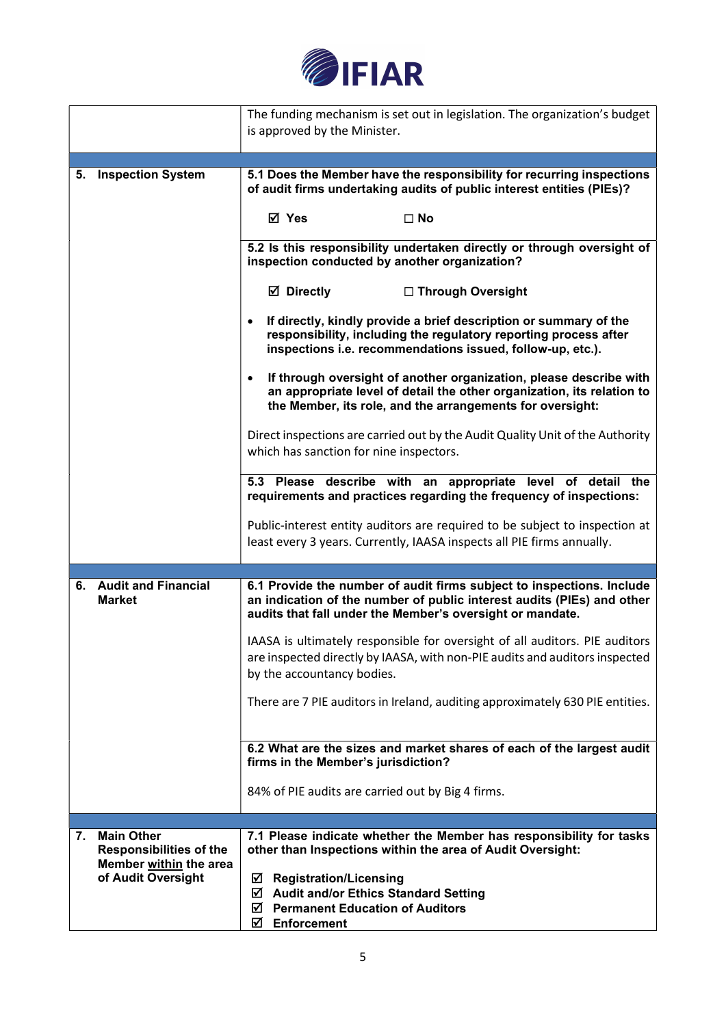

|    |                                                     | The funding mechanism is set out in legislation. The organization's budget<br>is approved by the Minister.                                                                                                             |
|----|-----------------------------------------------------|------------------------------------------------------------------------------------------------------------------------------------------------------------------------------------------------------------------------|
|    |                                                     |                                                                                                                                                                                                                        |
| 5. | <b>Inspection System</b>                            | 5.1 Does the Member have the responsibility for recurring inspections<br>of audit firms undertaking audits of public interest entities (PIEs)?                                                                         |
|    |                                                     | ☑ Yes<br>$\square$ No                                                                                                                                                                                                  |
|    |                                                     | 5.2 Is this responsibility undertaken directly or through oversight of<br>inspection conducted by another organization?                                                                                                |
|    |                                                     | <b>Ø</b> Directly<br>□ Through Oversight                                                                                                                                                                               |
|    |                                                     | If directly, kindly provide a brief description or summary of the<br>$\bullet$<br>responsibility, including the regulatory reporting process after<br>inspections i.e. recommendations issued, follow-up, etc.).       |
|    |                                                     | If through oversight of another organization, please describe with<br>$\bullet$<br>an appropriate level of detail the other organization, its relation to<br>the Member, its role, and the arrangements for oversight: |
|    |                                                     | Direct inspections are carried out by the Audit Quality Unit of the Authority<br>which has sanction for nine inspectors.                                                                                               |
|    |                                                     | 5.3 Please describe with an appropriate level of detail the<br>requirements and practices regarding the frequency of inspections:                                                                                      |
|    |                                                     | Public-interest entity auditors are required to be subject to inspection at<br>least every 3 years. Currently, IAASA inspects all PIE firms annually.                                                                  |
|    | 6. Audit and Financial<br><b>Market</b>             | 6.1 Provide the number of audit firms subject to inspections. Include<br>an indication of the number of public interest audits (PIEs) and other<br>audits that fall under the Member's oversight or mandate.           |
|    |                                                     | IAASA is ultimately responsible for oversight of all auditors. PIE auditors<br>are inspected directly by IAASA, with non-PIE audits and auditors inspected<br>by the accountancy bodies.                               |
|    |                                                     | There are 7 PIE auditors in Ireland, auditing approximately 630 PIE entities.                                                                                                                                          |
|    |                                                     | 6.2 What are the sizes and market shares of each of the largest audit<br>firms in the Member's jurisdiction?                                                                                                           |
|    |                                                     | 84% of PIE audits are carried out by Big 4 firms.                                                                                                                                                                      |
|    |                                                     |                                                                                                                                                                                                                        |
| 7. | <b>Main Other</b><br><b>Responsibilities of the</b> | 7.1 Please indicate whether the Member has responsibility for tasks<br>other than Inspections within the area of Audit Oversight:                                                                                      |
|    | Member within the area<br>of Audit Oversight        | ☑<br><b>Registration/Licensing</b><br><b>Audit and/or Ethics Standard Setting</b><br>☑<br>☑<br><b>Permanent Education of Auditors</b><br>Enforcement<br>☑                                                              |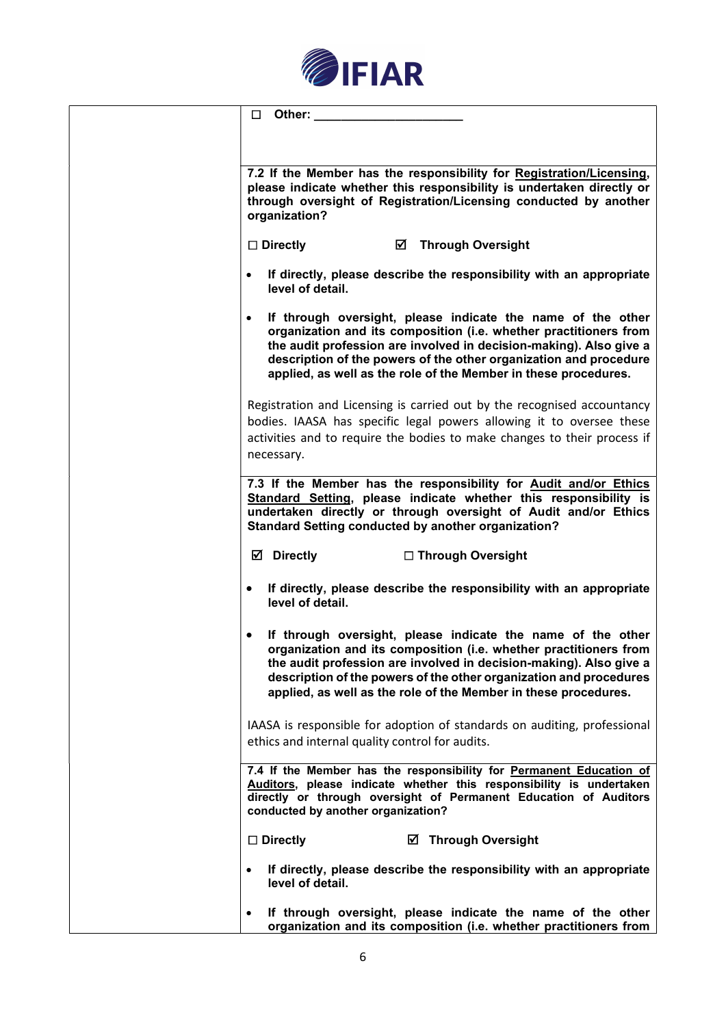

| □         | Other:                                                     |   |                                                                                                                                                                                                                                                                                                                                                 |  |
|-----------|------------------------------------------------------------|---|-------------------------------------------------------------------------------------------------------------------------------------------------------------------------------------------------------------------------------------------------------------------------------------------------------------------------------------------------|--|
|           |                                                            |   |                                                                                                                                                                                                                                                                                                                                                 |  |
|           | organization?                                              |   | 7.2 If the Member has the responsibility for Registration/Licensing,<br>please indicate whether this responsibility is undertaken directly or<br>through oversight of Registration/Licensing conducted by another                                                                                                                               |  |
|           | $\square$ Directly                                         | ☑ | <b>Through Oversight</b>                                                                                                                                                                                                                                                                                                                        |  |
| $\bullet$ | level of detail.                                           |   | If directly, please describe the responsibility with an appropriate                                                                                                                                                                                                                                                                             |  |
| $\bullet$ |                                                            |   | If through oversight, please indicate the name of the other<br>organization and its composition (i.e. whether practitioners from<br>the audit profession are involved in decision-making). Also give a<br>description of the powers of the other organization and procedure<br>applied, as well as the role of the Member in these procedures.  |  |
|           | necessary.                                                 |   | Registration and Licensing is carried out by the recognised accountancy<br>bodies. IAASA has specific legal powers allowing it to oversee these<br>activities and to require the bodies to make changes to their process if                                                                                                                     |  |
|           | <b>Standard Setting conducted by another organization?</b> |   | 7.3 If the Member has the responsibility for Audit and/or Ethics<br>Standard Setting, please indicate whether this responsibility is<br>undertaken directly or through oversight of Audit and/or Ethics                                                                                                                                         |  |
|           | <b>☑</b> Directly                                          |   | □ Through Oversight                                                                                                                                                                                                                                                                                                                             |  |
| $\bullet$ | level of detail.                                           |   | If directly, please describe the responsibility with an appropriate                                                                                                                                                                                                                                                                             |  |
|           |                                                            |   | If through oversight, please indicate the name of the other<br>organization and its composition (i.e. whether practitioners from<br>the audit profession are involved in decision-making). Also give a<br>description of the powers of the other organization and procedures<br>applied, as well as the role of the Member in these procedures. |  |
|           | ethics and internal quality control for audits.            |   | IAASA is responsible for adoption of standards on auditing, professional                                                                                                                                                                                                                                                                        |  |
|           | conducted by another organization?                         |   | 7.4 If the Member has the responsibility for Permanent Education of<br>Auditors, please indicate whether this responsibility is undertaken<br>directly or through oversight of Permanent Education of Auditors                                                                                                                                  |  |
|           | $\square$ Directly                                         |   | <b>Ø</b> Through Oversight                                                                                                                                                                                                                                                                                                                      |  |
| $\bullet$ | level of detail.                                           |   | If directly, please describe the responsibility with an appropriate                                                                                                                                                                                                                                                                             |  |
| $\bullet$ |                                                            |   | If through oversight, please indicate the name of the other<br>organization and its composition (i.e. whether practitioners from                                                                                                                                                                                                                |  |